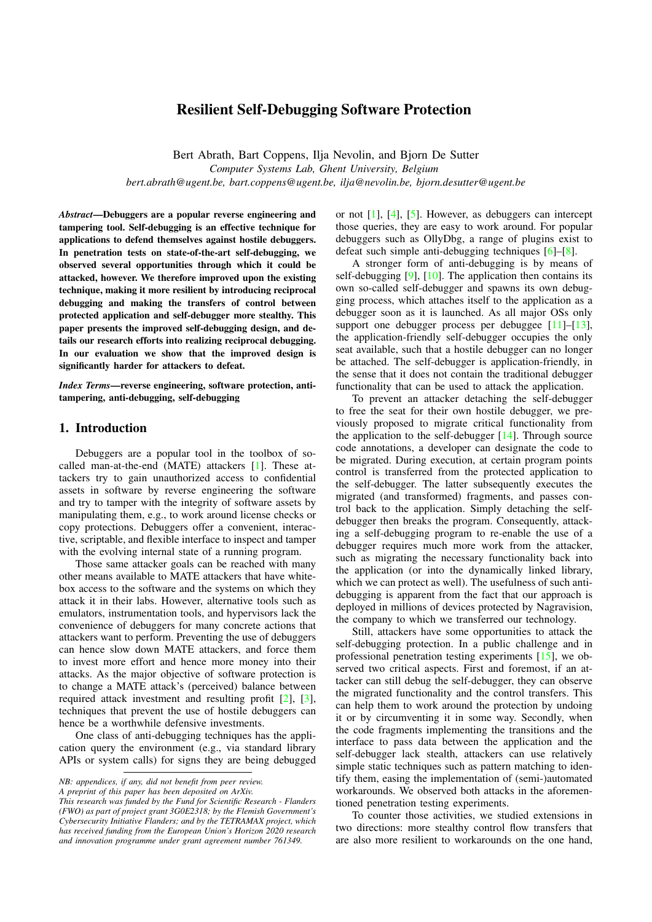# Resilient Self-Debugging Software Protection

Bert Abrath, Bart Coppens, Ilja Nevolin, and Bjorn De Sutter *Computer Systems Lab, Ghent University, Belgium bert.abrath@ugent.be, bart.coppens@ugent.be, ilja@nevolin.be, bjorn.desutter@ugent.be*

*Abstract*—Debuggers are a popular reverse engineering and tampering tool. Self-debugging is an effective technique for applications to defend themselves against hostile debuggers. In penetration tests on state-of-the-art self-debugging, we observed several opportunities through which it could be attacked, however. We therefore improved upon the existing technique, making it more resilient by introducing reciprocal debugging and making the transfers of control between protected application and self-debugger more stealthy. This paper presents the improved self-debugging design, and details our research efforts into realizing reciprocal debugging. In our evaluation we show that the improved design is significantly harder for attackers to defeat.

*Index Terms*—reverse engineering, software protection, antitampering, anti-debugging, self-debugging

### 1. Introduction

Debuggers are a popular tool in the toolbox of socalled man-at-the-end (MATE) attackers [\[1\]](#page-9-0). These attackers try to gain unauthorized access to confidential assets in software by reverse engineering the software and try to tamper with the integrity of software assets by manipulating them, e.g., to work around license checks or copy protections. Debuggers offer a convenient, interactive, scriptable, and flexible interface to inspect and tamper with the evolving internal state of a running program.

Those same attacker goals can be reached with many other means available to MATE attackers that have whitebox access to the software and the systems on which they attack it in their labs. However, alternative tools such as emulators, instrumentation tools, and hypervisors lack the convenience of debuggers for many concrete actions that attackers want to perform. Preventing the use of debuggers can hence slow down MATE attackers, and force them to invest more effort and hence more money into their attacks. As the major objective of software protection is to change a MATE attack's (perceived) balance between required attack investment and resulting profit [\[2\]](#page-9-1), [\[3\]](#page-9-2), techniques that prevent the use of hostile debuggers can hence be a worthwhile defensive investments.

One class of anti-debugging techniques has the application query the environment (e.g., via standard library APIs or system calls) for signs they are being debugged or not [\[1\]](#page-9-0), [\[4\]](#page-9-3), [\[5\]](#page-9-4). However, as debuggers can intercept those queries, they are easy to work around. For popular debuggers such as OllyDbg, a range of plugins exist to defeat such simple anti-debugging techniques [\[6\]](#page-9-5)–[\[8\]](#page-9-6).

A stronger form of anti-debugging is by means of self-debugging [\[9\]](#page-9-7), [\[10\]](#page-9-8). The application then contains its own so-called self-debugger and spawns its own debugging process, which attaches itself to the application as a debugger soon as it is launched. As all major OSs only support one debugger process per debuggee  $[11]$ – $[13]$ , the application-friendly self-debugger occupies the only seat available, such that a hostile debugger can no longer be attached. The self-debugger is application-friendly, in the sense that it does not contain the traditional debugger functionality that can be used to attack the application.

To prevent an attacker detaching the self-debugger to free the seat for their own hostile debugger, we previously proposed to migrate critical functionality from the application to the self-debugger [\[14\]](#page-9-11). Through source code annotations, a developer can designate the code to be migrated. During execution, at certain program points control is transferred from the protected application to the self-debugger. The latter subsequently executes the migrated (and transformed) fragments, and passes control back to the application. Simply detaching the selfdebugger then breaks the program. Consequently, attacking a self-debugging program to re-enable the use of a debugger requires much more work from the attacker, such as migrating the necessary functionality back into the application (or into the dynamically linked library, which we can protect as well). The usefulness of such antidebugging is apparent from the fact that our approach is deployed in millions of devices protected by Nagravision, the company to which we transferred our technology.

Still, attackers have some opportunities to attack the self-debugging protection. In a public challenge and in professional penetration testing experiments [\[15\]](#page-9-12), we observed two critical aspects. First and foremost, if an attacker can still debug the self-debugger, they can observe the migrated functionality and the control transfers. This can help them to work around the protection by undoing it or by circumventing it in some way. Secondly, when the code fragments implementing the transitions and the interface to pass data between the application and the self-debugger lack stealth, attackers can use relatively simple static techniques such as pattern matching to identify them, easing the implementation of (semi-)automated workarounds. We observed both attacks in the aforementioned penetration testing experiments.

To counter those activities, we studied extensions in two directions: more stealthy control flow transfers that are also more resilient to workarounds on the one hand,

*NB: appendices, if any, did not benefit from peer review.*

*A preprint of this paper has been deposited on ArXiv.*

*This research was funded by the Fund for Scientific Research - Flanders (FWO) as part of project grant 3G0E2318; by the Flemish Government's Cybersecurity Initiative Flanders; and by the TETRAMAX project, which has received funding from the European Union's Horizon 2020 research and innovation programme under grant agreement number 761349.*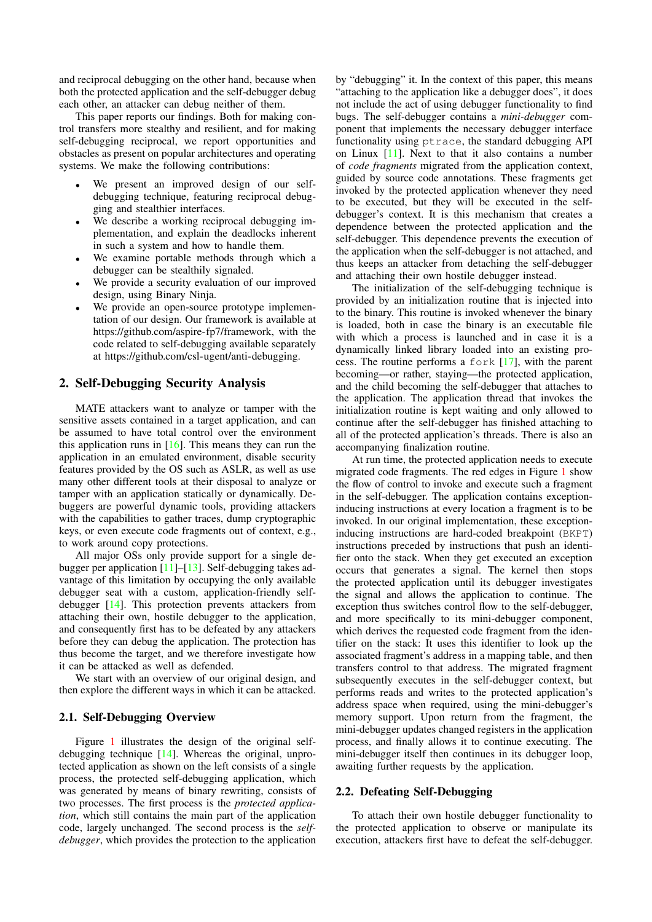and reciprocal debugging on the other hand, because when both the protected application and the self-debugger debug each other, an attacker can debug neither of them.

This paper reports our findings. Both for making control transfers more stealthy and resilient, and for making self-debugging reciprocal, we report opportunities and obstacles as present on popular architectures and operating systems. We make the following contributions:

- We present an improved design of our selfdebugging technique, featuring reciprocal debugging and stealthier interfaces.
- We describe a working reciprocal debugging implementation, and explain the deadlocks inherent in such a system and how to handle them.
- We examine portable methods through which a debugger can be stealthily signaled.
- We provide a security evaluation of our improved design, using Binary Ninja.
- We provide an open-source prototype implementation of our design. Our framework is available at [https://github.com/aspire-fp7/framework,](https://github.com/aspire-fp7/framework) with the code related to self-debugging available separately at [https://github.com/csl-ugent/anti-debugging.](https://github.com/csl-ugent/anti-debugging)

# 2. Self-Debugging Security Analysis

MATE attackers want to analyze or tamper with the sensitive assets contained in a target application, and can be assumed to have total control over the environment this application runs in  $[16]$ . This means they can run the application in an emulated environment, disable security features provided by the OS such as ASLR, as well as use many other different tools at their disposal to analyze or tamper with an application statically or dynamically. Debuggers are powerful dynamic tools, providing attackers with the capabilities to gather traces, dump cryptographic keys, or even execute code fragments out of context, e.g., to work around copy protections.

All major OSs only provide support for a single debugger per application [\[11\]](#page-9-9)–[\[13\]](#page-9-10). Self-debugging takes advantage of this limitation by occupying the only available debugger seat with a custom, application-friendly selfdebugger [\[14\]](#page-9-11). This protection prevents attackers from attaching their own, hostile debugger to the application, and consequently first has to be defeated by any attackers before they can debug the application. The protection has thus become the target, and we therefore investigate how it can be attacked as well as defended.

We start with an overview of our original design, and then explore the different ways in which it can be attacked.

#### 2.1. Self-Debugging Overview

Figure [1](#page-2-0) illustrates the design of the original selfdebugging technique [\[14\]](#page-9-11). Whereas the original, unprotected application as shown on the left consists of a single process, the protected self-debugging application, which was generated by means of binary rewriting, consists of two processes. The first process is the *protected application*, which still contains the main part of the application code, largely unchanged. The second process is the *selfdebugger*, which provides the protection to the application

by "debugging" it. In the context of this paper, this means "attaching to the application like a debugger does", it does not include the act of using debugger functionality to find bugs. The self-debugger contains a *mini-debugger* component that implements the necessary debugger interface functionality using ptrace, the standard debugging API on Linux [\[11\]](#page-9-9). Next to that it also contains a number of *code fragments* migrated from the application context, guided by source code annotations. These fragments get invoked by the protected application whenever they need to be executed, but they will be executed in the selfdebugger's context. It is this mechanism that creates a dependence between the protected application and the self-debugger. This dependence prevents the execution of the application when the self-debugger is not attached, and thus keeps an attacker from detaching the self-debugger and attaching their own hostile debugger instead.

The initialization of the self-debugging technique is provided by an initialization routine that is injected into to the binary. This routine is invoked whenever the binary is loaded, both in case the binary is an executable file with which a process is launched and in case it is a dynamically linked library loaded into an existing process. The routine performs a fork [\[17\]](#page-9-14), with the parent becoming—or rather, staying—the protected application, and the child becoming the self-debugger that attaches to the application. The application thread that invokes the initialization routine is kept waiting and only allowed to continue after the self-debugger has finished attaching to all of the protected application's threads. There is also an accompanying finalization routine.

At run time, the protected application needs to execute migrated code fragments. The red edges in Figure [1](#page-2-0) show the flow of control to invoke and execute such a fragment in the self-debugger. The application contains exceptioninducing instructions at every location a fragment is to be invoked. In our original implementation, these exceptioninducing instructions are hard-coded breakpoint (BKPT) instructions preceded by instructions that push an identifier onto the stack. When they get executed an exception occurs that generates a signal. The kernel then stops the protected application until its debugger investigates the signal and allows the application to continue. The exception thus switches control flow to the self-debugger, and more specifically to its mini-debugger component, which derives the requested code fragment from the identifier on the stack: It uses this identifier to look up the associated fragment's address in a mapping table, and then transfers control to that address. The migrated fragment subsequently executes in the self-debugger context, but performs reads and writes to the protected application's address space when required, using the mini-debugger's memory support. Upon return from the fragment, the mini-debugger updates changed registers in the application process, and finally allows it to continue executing. The mini-debugger itself then continues in its debugger loop, awaiting further requests by the application.

#### 2.2. Defeating Self-Debugging

To attach their own hostile debugger functionality to the protected application to observe or manipulate its execution, attackers first have to defeat the self-debugger.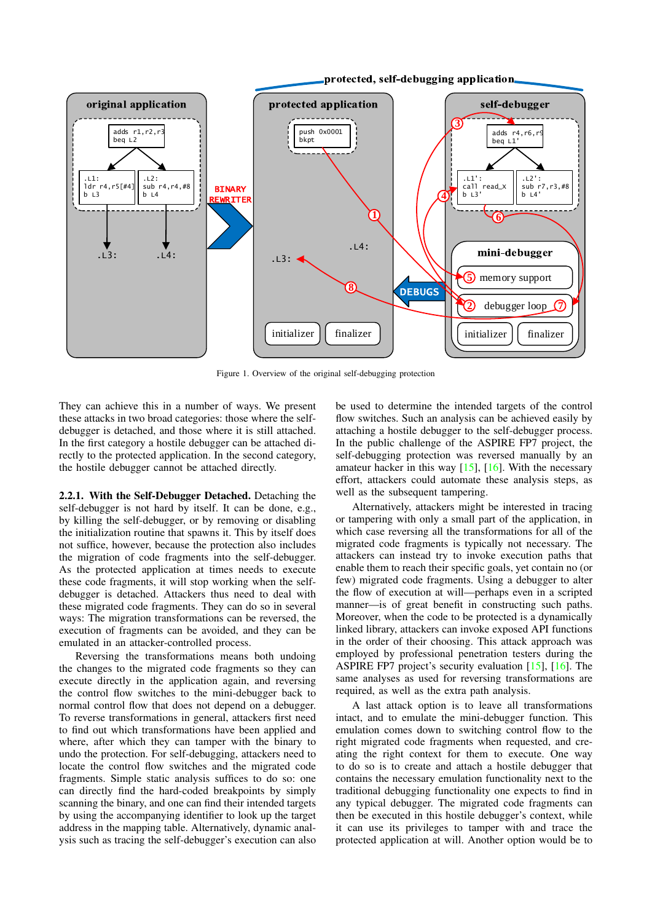

<span id="page-2-0"></span>Figure 1. Overview of the original self-debugging protection

They can achieve this in a number of ways. We present these attacks in two broad categories: those where the selfdebugger is detached, and those where it is still attached. In the first category a hostile debugger can be attached directly to the protected application. In the second category, the hostile debugger cannot be attached directly.

2.2.1. With the Self-Debugger Detached. Detaching the self-debugger is not hard by itself. It can be done, e.g., by killing the self-debugger, or by removing or disabling the initialization routine that spawns it. This by itself does not suffice, however, because the protection also includes the migration of code fragments into the self-debugger. As the protected application at times needs to execute these code fragments, it will stop working when the selfdebugger is detached. Attackers thus need to deal with these migrated code fragments. They can do so in several ways: The migration transformations can be reversed, the execution of fragments can be avoided, and they can be emulated in an attacker-controlled process.

Reversing the transformations means both undoing the changes to the migrated code fragments so they can execute directly in the application again, and reversing the control flow switches to the mini-debugger back to normal control flow that does not depend on a debugger. To reverse transformations in general, attackers first need to find out which transformations have been applied and where, after which they can tamper with the binary to undo the protection. For self-debugging, attackers need to locate the control flow switches and the migrated code fragments. Simple static analysis suffices to do so: one can directly find the hard-coded breakpoints by simply scanning the binary, and one can find their intended targets by using the accompanying identifier to look up the target address in the mapping table. Alternatively, dynamic analysis such as tracing the self-debugger's execution can also

be used to determine the intended targets of the control flow switches. Such an analysis can be achieved easily by attaching a hostile debugger to the self-debugger process. In the public challenge of the ASPIRE FP7 project, the self-debugging protection was reversed manually by an amateur hacker in this way  $[15]$ ,  $[16]$ . With the necessary effort, attackers could automate these analysis steps, as well as the subsequent tampering.

Alternatively, attackers might be interested in tracing or tampering with only a small part of the application, in which case reversing all the transformations for all of the migrated code fragments is typically not necessary. The attackers can instead try to invoke execution paths that enable them to reach their specific goals, yet contain no (or few) migrated code fragments. Using a debugger to alter the flow of execution at will—perhaps even in a scripted manner—is of great benefit in constructing such paths. Moreover, when the code to be protected is a dynamically linked library, attackers can invoke exposed API functions in the order of their choosing. This attack approach was employed by professional penetration testers during the ASPIRE FP7 project's security evaluation [\[15\]](#page-9-12), [\[16\]](#page-9-13). The same analyses as used for reversing transformations are required, as well as the extra path analysis.

A last attack option is to leave all transformations intact, and to emulate the mini-debugger function. This emulation comes down to switching control flow to the right migrated code fragments when requested, and creating the right context for them to execute. One way to do so is to create and attach a hostile debugger that contains the necessary emulation functionality next to the traditional debugging functionality one expects to find in any typical debugger. The migrated code fragments can then be executed in this hostile debugger's context, while it can use its privileges to tamper with and trace the protected application at will. Another option would be to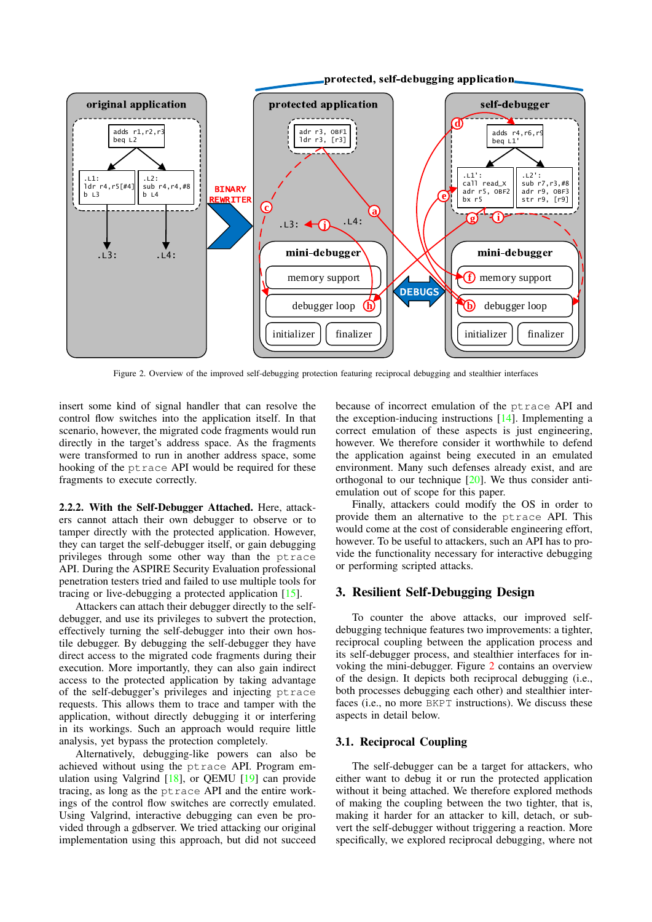

<span id="page-3-0"></span>Figure 2. Overview of the improved self-debugging protection featuring reciprocal debugging and stealthier interfaces

insert some kind of signal handler that can resolve the control flow switches into the application itself. In that scenario, however, the migrated code fragments would run directly in the target's address space. As the fragments were transformed to run in another address space, some hooking of the ptrace API would be required for these fragments to execute correctly.

2.2.2. With the Self-Debugger Attached. Here, attackers cannot attach their own debugger to observe or to tamper directly with the protected application. However, they can target the self-debugger itself, or gain debugging privileges through some other way than the ptrace API. During the ASPIRE Security Evaluation professional penetration testers tried and failed to use multiple tools for tracing or live-debugging a protected application [\[15\]](#page-9-12).

Attackers can attach their debugger directly to the selfdebugger, and use its privileges to subvert the protection, effectively turning the self-debugger into their own hostile debugger. By debugging the self-debugger they have direct access to the migrated code fragments during their execution. More importantly, they can also gain indirect access to the protected application by taking advantage of the self-debugger's privileges and injecting ptrace requests. This allows them to trace and tamper with the application, without directly debugging it or interfering in its workings. Such an approach would require little analysis, yet bypass the protection completely.

Alternatively, debugging-like powers can also be achieved without using the ptrace API. Program emulation using Valgrind [\[18\]](#page-9-15), or QEMU [\[19\]](#page-9-16) can provide tracing, as long as the ptrace API and the entire workings of the control flow switches are correctly emulated. Using Valgrind, interactive debugging can even be provided through a gdbserver. We tried attacking our original implementation using this approach, but did not succeed because of incorrect emulation of the ptrace API and the exception-inducing instructions [\[14\]](#page-9-11). Implementing a correct emulation of these aspects is just engineering, however. We therefore consider it worthwhile to defend the application against being executed in an emulated environment. Many such defenses already exist, and are orthogonal to our technique [\[20\]](#page-9-17). We thus consider antiemulation out of scope for this paper.

Finally, attackers could modify the OS in order to provide them an alternative to the ptrace API. This would come at the cost of considerable engineering effort, however. To be useful to attackers, such an API has to provide the functionality necessary for interactive debugging or performing scripted attacks.

#### 3. Resilient Self-Debugging Design

To counter the above attacks, our improved selfdebugging technique features two improvements: a tighter, reciprocal coupling between the application process and its self-debugger process, and stealthier interfaces for invoking the mini-debugger. Figure [2](#page-3-0) contains an overview of the design. It depicts both reciprocal debugging (i.e., both processes debugging each other) and stealthier interfaces (i.e., no more BKPT instructions). We discuss these aspects in detail below.

### 3.1. Reciprocal Coupling

The self-debugger can be a target for attackers, who either want to debug it or run the protected application without it being attached. We therefore explored methods of making the coupling between the two tighter, that is, making it harder for an attacker to kill, detach, or subvert the self-debugger without triggering a reaction. More specifically, we explored reciprocal debugging, where not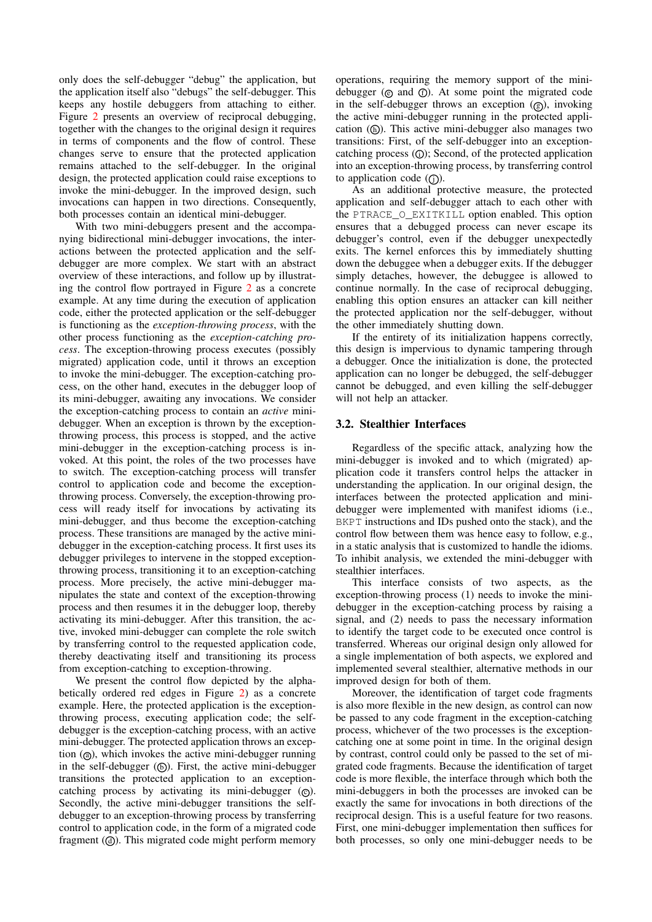only does the self-debugger "debug" the application, but the application itself also "debugs" the self-debugger. This keeps any hostile debuggers from attaching to either. Figure [2](#page-3-0) presents an overview of reciprocal debugging, together with the changes to the original design it requires in terms of components and the flow of control. These changes serve to ensure that the protected application remains attached to the self-debugger. In the original design, the protected application could raise exceptions to invoke the mini-debugger. In the improved design, such invocations can happen in two directions. Consequently, both processes contain an identical mini-debugger.

With two mini-debuggers present and the accompanying bidirectional mini-debugger invocations, the interactions between the protected application and the selfdebugger are more complex. We start with an abstract overview of these interactions, and follow up by illustrating the control flow portrayed in Figure [2](#page-3-0) as a concrete example. At any time during the execution of application code, either the protected application or the self-debugger is functioning as the *exception-throwing process*, with the other process functioning as the *exception-catching process*. The exception-throwing process executes (possibly migrated) application code, until it throws an exception to invoke the mini-debugger. The exception-catching process, on the other hand, executes in the debugger loop of its mini-debugger, awaiting any invocations. We consider the exception-catching process to contain an *active* minidebugger. When an exception is thrown by the exceptionthrowing process, this process is stopped, and the active mini-debugger in the exception-catching process is invoked. At this point, the roles of the two processes have to switch. The exception-catching process will transfer control to application code and become the exceptionthrowing process. Conversely, the exception-throwing process will ready itself for invocations by activating its mini-debugger, and thus become the exception-catching process. These transitions are managed by the active minidebugger in the exception-catching process. It first uses its debugger privileges to intervene in the stopped exceptionthrowing process, transitioning it to an exception-catching process. More precisely, the active mini-debugger manipulates the state and context of the exception-throwing process and then resumes it in the debugger loop, thereby activating its mini-debugger. After this transition, the active, invoked mini-debugger can complete the role switch by transferring control to the requested application code, thereby deactivating itself and transitioning its process from exception-catching to exception-throwing.

We present the control flow depicted by the alphabetically ordered red edges in Figure [2\)](#page-3-0) as a concrete example. Here, the protected application is the exceptionthrowing process, executing application code; the selfdebugger is the exception-catching process, with an active mini-debugger. The protected application throws an exception  $(Q)$ , which invokes the active mini-debugger running in the self-debugger  $(6)$ . First, the active mini-debugger transitions the protected application to an exceptioncatching process by activating its mini-debugger  $(\odot)$ . Secondly, the active mini-debugger transitions the selfdebugger to an exception-throwing process by transferring control to application code, in the form of a migrated code fragment  $($ a $)$ . This migrated code might perform memory operations, requiring the memory support of the minidebugger ( $\odot$  and  $\odot$ ). At some point the migrated code in the self-debugger throws an exception  $(Q_0)$ , invoking the active mini-debugger running in the protected application  $(6)$ . This active mini-debugger also manages two transitions: First, of the self-debugger into an exceptioncatching process  $($ i); Second, of the protected application into an exception-throwing process, by transferring control to application code  $($   $)$ .

As an additional protective measure, the protected application and self-debugger attach to each other with the PTRACE\_O\_EXITKILL option enabled. This option ensures that a debugged process can never escape its debugger's control, even if the debugger unexpectedly exits. The kernel enforces this by immediately shutting down the debuggee when a debugger exits. If the debugger simply detaches, however, the debuggee is allowed to continue normally. In the case of reciprocal debugging, enabling this option ensures an attacker can kill neither the protected application nor the self-debugger, without the other immediately shutting down.

If the entirety of its initialization happens correctly, this design is impervious to dynamic tampering through a debugger. Once the initialization is done, the protected application can no longer be debugged, the self-debugger cannot be debugged, and even killing the self-debugger will not help an attacker.

#### 3.2. Stealthier Interfaces

Regardless of the specific attack, analyzing how the mini-debugger is invoked and to which (migrated) application code it transfers control helps the attacker in understanding the application. In our original design, the interfaces between the protected application and minidebugger were implemented with manifest idioms (i.e., BKPT instructions and IDs pushed onto the stack), and the control flow between them was hence easy to follow, e.g., in a static analysis that is customized to handle the idioms. To inhibit analysis, we extended the mini-debugger with stealthier interfaces.

This interface consists of two aspects, as the exception-throwing process (1) needs to invoke the minidebugger in the exception-catching process by raising a signal, and (2) needs to pass the necessary information to identify the target code to be executed once control is transferred. Whereas our original design only allowed for a single implementation of both aspects, we explored and implemented several stealthier, alternative methods in our improved design for both of them.

Moreover, the identification of target code fragments is also more flexible in the new design, as control can now be passed to any code fragment in the exception-catching process, whichever of the two processes is the exceptioncatching one at some point in time. In the original design by contrast, control could only be passed to the set of migrated code fragments. Because the identification of target code is more flexible, the interface through which both the mini-debuggers in both the processes are invoked can be exactly the same for invocations in both directions of the reciprocal design. This is a useful feature for two reasons. First, one mini-debugger implementation then suffices for both processes, so only one mini-debugger needs to be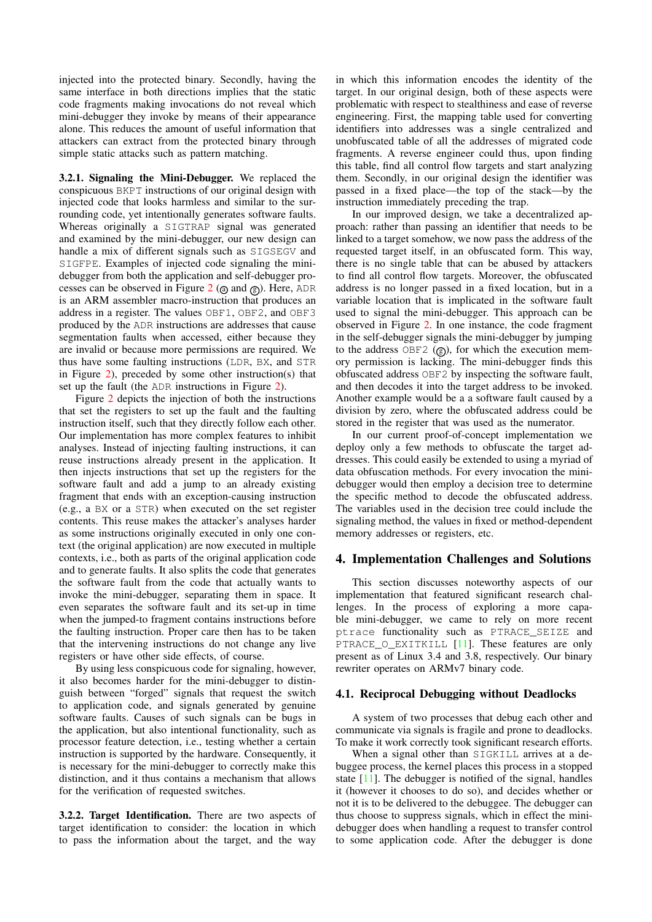injected into the protected binary. Secondly, having the same interface in both directions implies that the static code fragments making invocations do not reveal which mini-debugger they invoke by means of their appearance alone. This reduces the amount of useful information that attackers can extract from the protected binary through simple static attacks such as pattern matching.

3.2.1. Signaling the Mini-Debugger. We replaced the conspicuous BKPT instructions of our original design with injected code that looks harmless and similar to the surrounding code, yet intentionally generates software faults. Whereas originally a SIGTRAP signal was generated and examined by the mini-debugger, our new design can handle a mix of different signals such as SIGSEGV and SIGFPE. Examples of injected code signaling the minidebugger from both the application and self-debugger pro-cesses can be observed in Figure [2](#page-3-0) ( $\omega$ ) and  $\omega$ ). Here, ADR is an ARM assembler macro-instruction that produces an address in a register. The values OBF1, OBF2, and OBF3 produced by the ADR instructions are addresses that cause segmentation faults when accessed, either because they are invalid or because more permissions are required. We thus have some faulting instructions (LDR, BX, and STR in Figure [2\)](#page-3-0), preceded by some other instruction(s) that set up the fault (the ADR instructions in Figure [2\)](#page-3-0).

Figure [2](#page-3-0) depicts the injection of both the instructions that set the registers to set up the fault and the faulting instruction itself, such that they directly follow each other. Our implementation has more complex features to inhibit analyses. Instead of injecting faulting instructions, it can reuse instructions already present in the application. It then injects instructions that set up the registers for the software fault and add a jump to an already existing fragment that ends with an exception-causing instruction (e.g., a BX or a STR) when executed on the set register contents. This reuse makes the attacker's analyses harder as some instructions originally executed in only one context (the original application) are now executed in multiple contexts, i.e., both as parts of the original application code and to generate faults. It also splits the code that generates the software fault from the code that actually wants to invoke the mini-debugger, separating them in space. It even separates the software fault and its set-up in time when the jumped-to fragment contains instructions before the faulting instruction. Proper care then has to be taken that the intervening instructions do not change any live registers or have other side effects, of course.

By using less conspicuous code for signaling, however, it also becomes harder for the mini-debugger to distinguish between "forged" signals that request the switch to application code, and signals generated by genuine software faults. Causes of such signals can be bugs in the application, but also intentional functionality, such as processor feature detection, i.e., testing whether a certain instruction is supported by the hardware. Consequently, it is necessary for the mini-debugger to correctly make this distinction, and it thus contains a mechanism that allows for the verification of requested switches.

3.2.2. Target Identification. There are two aspects of target identification to consider: the location in which to pass the information about the target, and the way in which this information encodes the identity of the target. In our original design, both of these aspects were problematic with respect to stealthiness and ease of reverse engineering. First, the mapping table used for converting identifiers into addresses was a single centralized and unobfuscated table of all the addresses of migrated code fragments. A reverse engineer could thus, upon finding this table, find all control flow targets and start analyzing them. Secondly, in our original design the identifier was passed in a fixed place—the top of the stack—by the instruction immediately preceding the trap.

In our improved design, we take a decentralized approach: rather than passing an identifier that needs to be linked to a target somehow, we now pass the address of the requested target itself, in an obfuscated form. This way, there is no single table that can be abused by attackers to find all control flow targets. Moreover, the obfuscated address is no longer passed in a fixed location, but in a variable location that is implicated in the software fault used to signal the mini-debugger. This approach can be observed in Figure [2.](#page-3-0) In one instance, the code fragment in the self-debugger signals the mini-debugger by jumping to the address  $OBF2$  ( $\circledcirc$ ), for which the execution memory permission is lacking. The mini-debugger finds this obfuscated address OBF2 by inspecting the software fault, and then decodes it into the target address to be invoked. Another example would be a a software fault caused by a division by zero, where the obfuscated address could be stored in the register that was used as the numerator.

In our current proof-of-concept implementation we deploy only a few methods to obfuscate the target addresses. This could easily be extended to using a myriad of data obfuscation methods. For every invocation the minidebugger would then employ a decision tree to determine the specific method to decode the obfuscated address. The variables used in the decision tree could include the signaling method, the values in fixed or method-dependent memory addresses or registers, etc.

#### 4. Implementation Challenges and Solutions

This section discusses noteworthy aspects of our implementation that featured significant research challenges. In the process of exploring a more capable mini-debugger, we came to rely on more recent ptrace functionality such as PTRACE\_SEIZE and PTRACE\_O\_EXITKILL [\[11\]](#page-9-9). These features are only present as of Linux 3.4 and 3.8, respectively. Our binary rewriter operates on ARMv7 binary code.

#### 4.1. Reciprocal Debugging without Deadlocks

A system of two processes that debug each other and communicate via signals is fragile and prone to deadlocks. To make it work correctly took significant research efforts.

When a signal other than SIGKILL arrives at a debuggee process, the kernel places this process in a stopped state  $[11]$ . The debugger is notified of the signal, handles it (however it chooses to do so), and decides whether or not it is to be delivered to the debuggee. The debugger can thus choose to suppress signals, which in effect the minidebugger does when handling a request to transfer control to some application code. After the debugger is done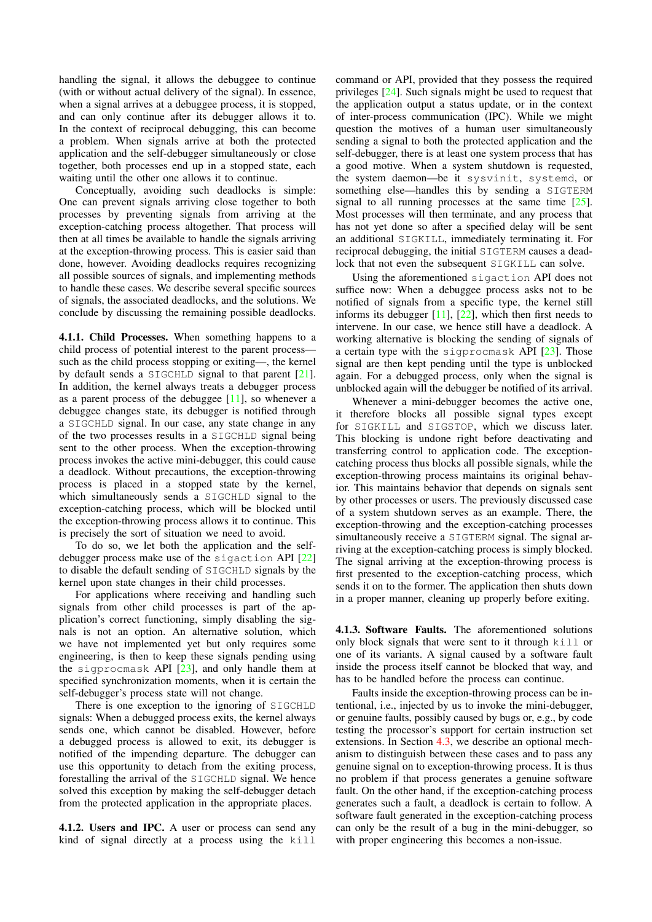handling the signal, it allows the debuggee to continue (with or without actual delivery of the signal). In essence, when a signal arrives at a debuggee process, it is stopped, and can only continue after its debugger allows it to. In the context of reciprocal debugging, this can become a problem. When signals arrive at both the protected application and the self-debugger simultaneously or close together, both processes end up in a stopped state, each waiting until the other one allows it to continue.

Conceptually, avoiding such deadlocks is simple: One can prevent signals arriving close together to both processes by preventing signals from arriving at the exception-catching process altogether. That process will then at all times be available to handle the signals arriving at the exception-throwing process. This is easier said than done, however. Avoiding deadlocks requires recognizing all possible sources of signals, and implementing methods to handle these cases. We describe several specific sources of signals, the associated deadlocks, and the solutions. We conclude by discussing the remaining possible deadlocks.

4.1.1. Child Processes. When something happens to a child process of potential interest to the parent process such as the child process stopping or exiting—, the kernel by default sends a SIGCHLD signal to that parent [\[21\]](#page-9-18). In addition, the kernel always treats a debugger process as a parent process of the debuggee  $[11]$ , so whenever a debuggee changes state, its debugger is notified through a SIGCHLD signal. In our case, any state change in any of the two processes results in a SIGCHLD signal being sent to the other process. When the exception-throwing process invokes the active mini-debugger, this could cause a deadlock. Without precautions, the exception-throwing process is placed in a stopped state by the kernel, which simultaneously sends a SIGCHLD signal to the exception-catching process, which will be blocked until the exception-throwing process allows it to continue. This is precisely the sort of situation we need to avoid.

To do so, we let both the application and the selfdebugger process make use of the sigaction API [\[22\]](#page-9-19) to disable the default sending of SIGCHLD signals by the kernel upon state changes in their child processes.

For applications where receiving and handling such signals from other child processes is part of the application's correct functioning, simply disabling the signals is not an option. An alternative solution, which we have not implemented yet but only requires some engineering, is then to keep these signals pending using the sigprocmask API [\[23\]](#page-9-20), and only handle them at specified synchronization moments, when it is certain the self-debugger's process state will not change.

There is one exception to the ignoring of SIGCHLD signals: When a debugged process exits, the kernel always sends one, which cannot be disabled. However, before a debugged process is allowed to exit, its debugger is notified of the impending departure. The debugger can use this opportunity to detach from the exiting process, forestalling the arrival of the SIGCHLD signal. We hence solved this exception by making the self-debugger detach from the protected application in the appropriate places.

<span id="page-6-0"></span>4.1.2. Users and IPC. A user or process can send any kind of signal directly at a process using the kill

command or API, provided that they possess the required privileges [\[24\]](#page-9-21). Such signals might be used to request that the application output a status update, or in the context of inter-process communication (IPC). While we might question the motives of a human user simultaneously sending a signal to both the protected application and the self-debugger, there is at least one system process that has a good motive. When a system shutdown is requested, the system daemon—be it sysvinit, systemd, or something else—handles this by sending a SIGTERM signal to all running processes at the same time [\[25\]](#page-9-22). Most processes will then terminate, and any process that has not yet done so after a specified delay will be sent an additional SIGKILL, immediately terminating it. For reciprocal debugging, the initial SIGTERM causes a deadlock that not even the subsequent SIGKILL can solve.

Using the aforementioned sigaction API does not suffice now: When a debuggee process asks not to be notified of signals from a specific type, the kernel still informs its debugger  $[11]$ ,  $[22]$ , which then first needs to intervene. In our case, we hence still have a deadlock. A working alternative is blocking the sending of signals of a certain type with the sigprocmask API [\[23\]](#page-9-20). Those signal are then kept pending until the type is unblocked again. For a debugged process, only when the signal is unblocked again will the debugger be notified of its arrival.

Whenever a mini-debugger becomes the active one, it therefore blocks all possible signal types except for SIGKILL and SIGSTOP, which we discuss later. This blocking is undone right before deactivating and transferring control to application code. The exceptioncatching process thus blocks all possible signals, while the exception-throwing process maintains its original behavior. This maintains behavior that depends on signals sent by other processes or users. The previously discussed case of a system shutdown serves as an example. There, the exception-throwing and the exception-catching processes simultaneously receive a SIGTERM signal. The signal arriving at the exception-catching process is simply blocked. The signal arriving at the exception-throwing process is first presented to the exception-catching process, which sends it on to the former. The application then shuts down in a proper manner, cleaning up properly before exiting.

4.1.3. Software Faults. The aforementioned solutions only block signals that were sent to it through kill or one of its variants. A signal caused by a software fault inside the process itself cannot be blocked that way, and has to be handled before the process can continue.

Faults inside the exception-throwing process can be intentional, i.e., injected by us to invoke the mini-debugger, or genuine faults, possibly caused by bugs or, e.g., by code testing the processor's support for certain instruction set extensions. In Section [4.3,](#page-8-0) we describe an optional mechanism to distinguish between these cases and to pass any genuine signal on to exception-throwing process. It is thus no problem if that process generates a genuine software fault. On the other hand, if the exception-catching process generates such a fault, a deadlock is certain to follow. A software fault generated in the exception-catching process can only be the result of a bug in the mini-debugger, so with proper engineering this becomes a non-issue.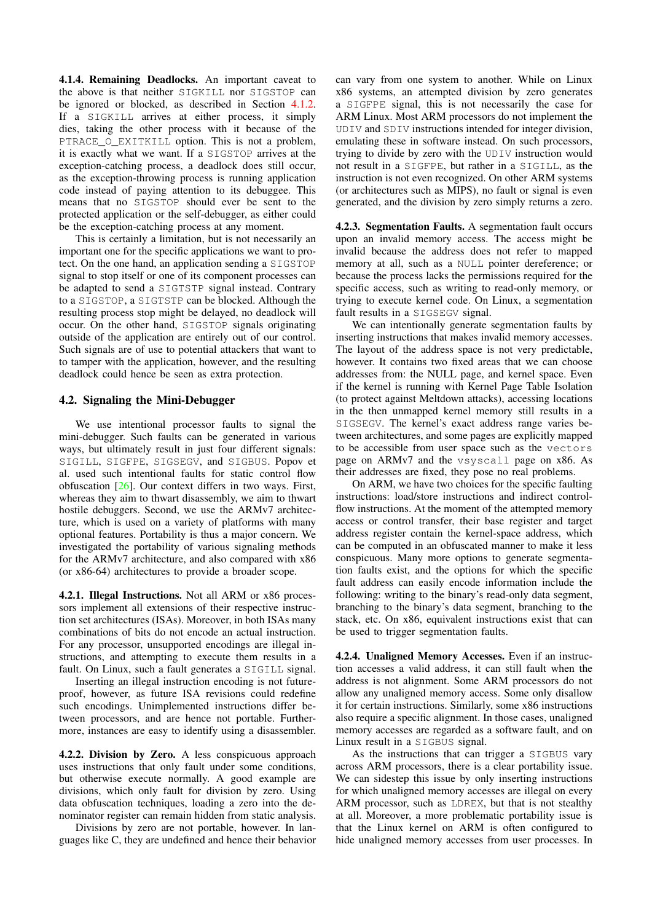4.1.4. Remaining Deadlocks. An important caveat to the above is that neither SIGKILL nor SIGSTOP can be ignored or blocked, as described in Section [4.1.2.](#page-6-0) If a SIGKILL arrives at either process, it simply dies, taking the other process with it because of the PTRACE O EXITKILL option. This is not a problem, it is exactly what we want. If a SIGSTOP arrives at the exception-catching process, a deadlock does still occur, as the exception-throwing process is running application code instead of paying attention to its debuggee. This means that no SIGSTOP should ever be sent to the protected application or the self-debugger, as either could be the exception-catching process at any moment.

This is certainly a limitation, but is not necessarily an important one for the specific applications we want to protect. On the one hand, an application sending a SIGSTOP signal to stop itself or one of its component processes can be adapted to send a SIGTSTP signal instead. Contrary to a SIGSTOP, a SIGTSTP can be blocked. Although the resulting process stop might be delayed, no deadlock will occur. On the other hand, SIGSTOP signals originating outside of the application are entirely out of our control. Such signals are of use to potential attackers that want to to tamper with the application, however, and the resulting deadlock could hence be seen as extra protection.

### 4.2. Signaling the Mini-Debugger

We use intentional processor faults to signal the mini-debugger. Such faults can be generated in various ways, but ultimately result in just four different signals: SIGILL, SIGFPE, SIGSEGV, and SIGBUS. Popov et al. used such intentional faults for static control flow obfuscation [\[26\]](#page-9-23). Our context differs in two ways. First, whereas they aim to thwart disassembly, we aim to thwart hostile debuggers. Second, we use the ARMv7 architecture, which is used on a variety of platforms with many optional features. Portability is thus a major concern. We investigated the portability of various signaling methods for the ARMv7 architecture, and also compared with x86 (or x86-64) architectures to provide a broader scope.

4.2.1. Illegal Instructions. Not all ARM or x86 processors implement all extensions of their respective instruction set architectures (ISAs). Moreover, in both ISAs many combinations of bits do not encode an actual instruction. For any processor, unsupported encodings are illegal instructions, and attempting to execute them results in a fault. On Linux, such a fault generates a SIGILL signal.

Inserting an illegal instruction encoding is not futureproof, however, as future ISA revisions could redefine such encodings. Unimplemented instructions differ between processors, and are hence not portable. Furthermore, instances are easy to identify using a disassembler.

4.2.2. Division by Zero. A less conspicuous approach uses instructions that only fault under some conditions, but otherwise execute normally. A good example are divisions, which only fault for division by zero. Using data obfuscation techniques, loading a zero into the denominator register can remain hidden from static analysis.

Divisions by zero are not portable, however. In languages like C, they are undefined and hence their behavior

can vary from one system to another. While on Linux x86 systems, an attempted division by zero generates a SIGFPE signal, this is not necessarily the case for ARM Linux. Most ARM processors do not implement the UDIV and SDIV instructions intended for integer division, emulating these in software instead. On such processors, trying to divide by zero with the UDIV instruction would not result in a SIGFPE, but rather in a SIGILL, as the instruction is not even recognized. On other ARM systems (or architectures such as MIPS), no fault or signal is even generated, and the division by zero simply returns a zero.

4.2.3. Segmentation Faults. A segmentation fault occurs upon an invalid memory access. The access might be invalid because the address does not refer to mapped memory at all, such as a NULL pointer dereference; or because the process lacks the permissions required for the specific access, such as writing to read-only memory, or trying to execute kernel code. On Linux, a segmentation fault results in a SIGSEGV signal.

We can intentionally generate segmentation faults by inserting instructions that makes invalid memory accesses. The layout of the address space is not very predictable, however. It contains two fixed areas that we can choose addresses from: the NULL page, and kernel space. Even if the kernel is running with Kernel Page Table Isolation (to protect against Meltdown attacks), accessing locations in the then unmapped kernel memory still results in a SIGSEGV. The kernel's exact address range varies between architectures, and some pages are explicitly mapped to be accessible from user space such as the vectors page on ARMv7 and the vsyscall page on x86. As their addresses are fixed, they pose no real problems.

On ARM, we have two choices for the specific faulting instructions: load/store instructions and indirect controlflow instructions. At the moment of the attempted memory access or control transfer, their base register and target address register contain the kernel-space address, which can be computed in an obfuscated manner to make it less conspicuous. Many more options to generate segmentation faults exist, and the options for which the specific fault address can easily encode information include the following: writing to the binary's read-only data segment, branching to the binary's data segment, branching to the stack, etc. On x86, equivalent instructions exist that can be used to trigger segmentation faults.

4.2.4. Unaligned Memory Accesses. Even if an instruction accesses a valid address, it can still fault when the address is not alignment. Some ARM processors do not allow any unaligned memory access. Some only disallow it for certain instructions. Similarly, some x86 instructions also require a specific alignment. In those cases, unaligned memory accesses are regarded as a software fault, and on Linux result in a SIGBUS signal.

As the instructions that can trigger a SIGBUS vary across ARM processors, there is a clear portability issue. We can sidestep this issue by only inserting instructions for which unaligned memory accesses are illegal on every ARM processor, such as LDREX, but that is not stealthy at all. Moreover, a more problematic portability issue is that the Linux kernel on ARM is often configured to hide unaligned memory accesses from user processes. In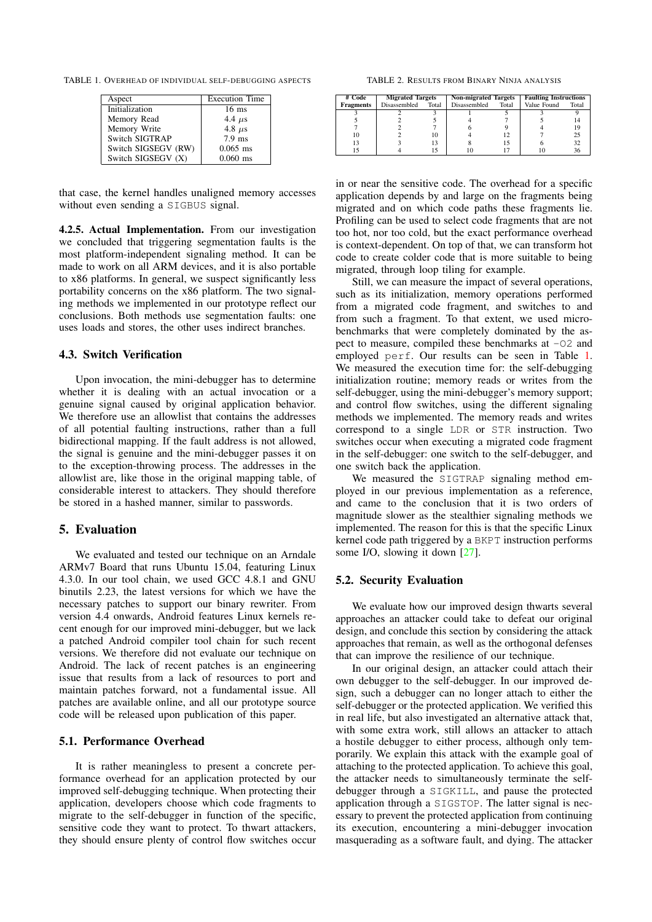TABLE 1. OVERHEAD OF INDIVIDUAL SELF-DEBUGGING ASPECTS

<span id="page-8-1"></span>

| Aspect              | <b>Execution Time</b> |
|---------------------|-----------------------|
| Initialization      | $16$ ms               |
| Memory Read         | 4.4 $\mu$ s           |
| Memory Write        | 4.8 $\mu$ s           |
| Switch SIGTRAP      | $7.9$ ms              |
| Switch SIGSEGV (RW) | $0.065$ ms            |
| Switch SIGSEGV (X)  | $0.060$ ms            |

that case, the kernel handles unaligned memory accesses without even sending a SIGBUS signal.

4.2.5. Actual Implementation. From our investigation we concluded that triggering segmentation faults is the most platform-independent signaling method. It can be made to work on all ARM devices, and it is also portable to x86 platforms. In general, we suspect significantly less portability concerns on the x86 platform. The two signaling methods we implemented in our prototype reflect our conclusions. Both methods use segmentation faults: one uses loads and stores, the other uses indirect branches.

## <span id="page-8-0"></span>4.3. Switch Verification

Upon invocation, the mini-debugger has to determine whether it is dealing with an actual invocation or a genuine signal caused by original application behavior. We therefore use an allowlist that contains the addresses of all potential faulting instructions, rather than a full bidirectional mapping. If the fault address is not allowed, the signal is genuine and the mini-debugger passes it on to the exception-throwing process. The addresses in the allowlist are, like those in the original mapping table, of considerable interest to attackers. They should therefore be stored in a hashed manner, similar to passwords.

### 5. Evaluation

We evaluated and tested our technique on an Arndale ARMv7 Board that runs Ubuntu 15.04, featuring Linux 4.3.0. In our tool chain, we used GCC 4.8.1 and GNU binutils 2.23, the latest versions for which we have the necessary patches to support our binary rewriter. From version 4.4 onwards, Android features Linux kernels recent enough for our improved mini-debugger, but we lack a patched Android compiler tool chain for such recent versions. We therefore did not evaluate our technique on Android. The lack of recent patches is an engineering issue that results from a lack of resources to port and maintain patches forward, not a fundamental issue. All patches are available online, and all our prototype source code will be released upon publication of this paper.

### 5.1. Performance Overhead

It is rather meaningless to present a concrete performance overhead for an application protected by our improved self-debugging technique. When protecting their application, developers choose which code fragments to migrate to the self-debugger in function of the specific, sensitive code they want to protect. To thwart attackers, they should ensure plenty of control flow switches occur

<span id="page-8-2"></span>TABLE 2. RESULTS FROM BINARY NINJA ANALYSIS

| # Code           | <b>Migrated Targets</b> |       | <b>Non-migrated Targets</b> |       | <b>Faulting Instructions</b> |       |
|------------------|-------------------------|-------|-----------------------------|-------|------------------------------|-------|
| <b>Fragments</b> | <b>Disassembled</b>     | Total | Disassembled                | Total | Value Found                  | Total |
|                  |                         |       |                             |       |                              |       |
|                  |                         |       |                             |       |                              |       |
|                  |                         |       |                             |       |                              |       |
| 10               |                         | 10    |                             |       |                              | 25    |
| 13               |                         |       |                             |       |                              | 32    |
|                  |                         |       |                             |       |                              | 36    |

in or near the sensitive code. The overhead for a specific application depends by and large on the fragments being migrated and on which code paths these fragments lie. Profiling can be used to select code fragments that are not too hot, nor too cold, but the exact performance overhead is context-dependent. On top of that, we can transform hot code to create colder code that is more suitable to being migrated, through loop tiling for example.

Still, we can measure the impact of several operations, such as its initialization, memory operations performed from a migrated code fragment, and switches to and from such a fragment. To that extent, we used microbenchmarks that were completely dominated by the aspect to measure, compiled these benchmarks at -O2 and employed perf. Our results can be seen in Table [1.](#page-8-1) We measured the execution time for: the self-debugging initialization routine; memory reads or writes from the self-debugger, using the mini-debugger's memory support; and control flow switches, using the different signaling methods we implemented. The memory reads and writes correspond to a single LDR or STR instruction. Two switches occur when executing a migrated code fragment in the self-debugger: one switch to the self-debugger, and one switch back the application.

We measured the SIGTRAP signaling method employed in our previous implementation as a reference, and came to the conclusion that it is two orders of magnitude slower as the stealthier signaling methods we implemented. The reason for this is that the specific Linux kernel code path triggered by a BKPT instruction performs some I/O, slowing it down [\[27\]](#page-9-24).

### 5.2. Security Evaluation

We evaluate how our improved design thwarts several approaches an attacker could take to defeat our original design, and conclude this section by considering the attack approaches that remain, as well as the orthogonal defenses that can improve the resilience of our technique.

In our original design, an attacker could attach their own debugger to the self-debugger. In our improved design, such a debugger can no longer attach to either the self-debugger or the protected application. We verified this in real life, but also investigated an alternative attack that, with some extra work, still allows an attacker to attach a hostile debugger to either process, although only temporarily. We explain this attack with the example goal of attaching to the protected application. To achieve this goal, the attacker needs to simultaneously terminate the selfdebugger through a SIGKILL, and pause the protected application through a SIGSTOP. The latter signal is necessary to prevent the protected application from continuing its execution, encountering a mini-debugger invocation masquerading as a software fault, and dying. The attacker